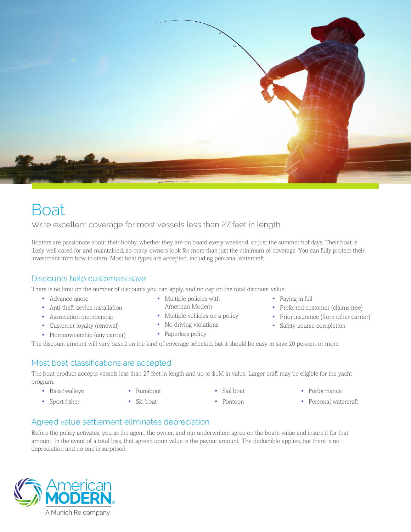

# **Boat**

Write excellent coverage for most vessels less than 27 feet in length.

Boaters are passionate about their hobby, whether they are on board every weekend, or just the summer holidays. Their boat is likely well cared for and maintained, so many owners look for more than just the minimum of coverage. You can fully protect their investment from bow to stern. Most boat types are accepted, including personal watercraft.

## Discounts help customers save

There is no limit on the number of discounts you can apply, and no cap on the total discount value:

- **•** Advance quote
- **•** Anti-theft device installation
- **•** Association membership
- **•** Customer loyalty (renewal)
- **•** Homeownership (any carrier)
- **•** Multiple policies with American Modern
- Multiple vehicles on a policy
- **•** No driving violations
- **•** Paperless policy
- **•** Paying in full
- **•** Preferred customer (claims free)
- **•** Prior insurance (from other carrier)
- **•** Safety course completion

The discount amount will vary based on the kind of coverage selected, but it should be easy to save 20 percent or more.

#### Most boat classifications are accepted

The boat product accepts vessels less than 27 feet in length and up to \$1M in value. Larger craft may be eligible for the yacht program.

- **•** Bass/walleye
- **•** Runabout
- **•** Sail boat
- **•** Performance
- **•** Personal watercraft
- **•** Sport fisher
- **•** Ski boat
- **•** Pontoon

## Agreed value settlement eliminates depreciation

Before the policy activates, you as the agent, the owner, and our underwriters agree on the boat's value and insure it for that amount. In the event of a total loss, that agreed upon value is the payout amount. The deductible applies, but there is no depreciation and no one is surprised.